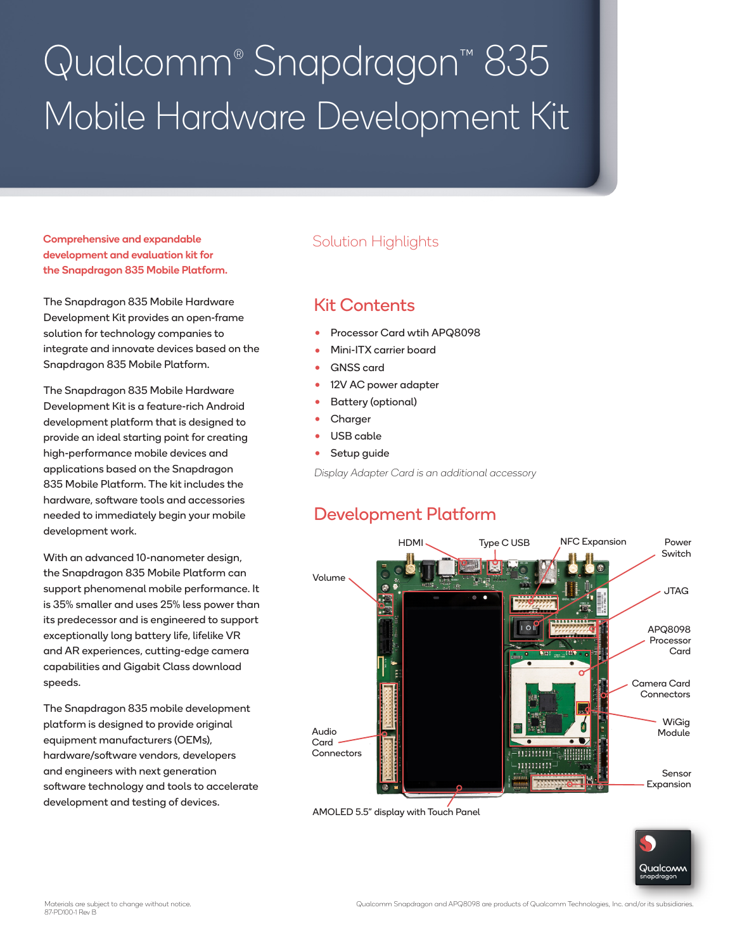# Qualcomm® Snapdragon™ 835 Mobile Hardware Development Kit

#### Comprehensive and expandable development and evaluation kit for the Snapdragon 835 Mobile Platform.

The Snapdragon 835 Mobile Hardware Development Kit provides an open-frame solution for technology companies to integrate and innovate devices based on the Snapdragon 835 Mobile Platform.

The Snapdragon 835 Mobile Hardware Development Kit is a feature-rich Android development platform that is designed to provide an ideal starting point for creating high-performance mobile devices and applications based on the Snapdragon 835 Mobile Platform. The kit includes the hardware, software tools and accessories needed to immediately begin your mobile development work.

With an advanced 10-nanometer design, the Snapdragon 835 Mobile Platform can support phenomenal mobile performance. It is 35% smaller and uses 25% less power than its predecessor and is engineered to support exceptionally long battery life, lifelike VR and AR experiences, cutting-edge camera capabilities and Gigabit Class download speeds.

The Snapdragon 835 mobile development platform is designed to provide original equipment manufacturers (OEMs), hardware/software vendors, developers and engineers with next generation software technology and tools to accelerate development and testing of devices.

#### Solution Highlights

### Kit Contents

- Processor Card wtih APQ8098
- Mini-ITX carrier board
- GNSS card
- 12V AC power adapter
- Battery (optional)
- Charger
- USB cable
- Setup guide

Display Adapter Card is an additional accessory

## Development Platform



AMOLED 5.5" display with Touch Panel